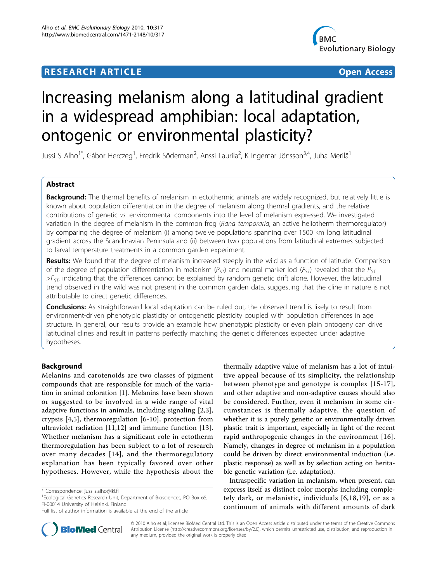## **RESEARCH ARTICLE Example 2018 12:00 Department of the Contract Open Access**



# Increasing melanism along a latitudinal gradient in a widespread amphibian: local adaptation, ontogenic or environmental plasticity?

Jussi S Alho $^{\text{1*}}$ , Gábor Herczeg $^{\text{1}}$ , Fredrik Söderman $^{\text{2}}$ , Anssi Laurila $^{\text{2}}$ , K Ingemar Jönsson $^{\text{3,4}}$ , Juha Merilä $^{\text{1}}$ 

## Abstract

**Background:** The thermal benefits of melanism in ectothermic animals are widely recognized, but relatively little is known about population differentiation in the degree of melanism along thermal gradients, and the relative contributions of genetic vs. environmental components into the level of melanism expressed. We investigated variation in the degree of melanism in the common frog (Rana temporaria; an active heliotherm thermoregulator) by comparing the degree of melanism (i) among twelve populations spanning over 1500 km long latitudinal gradient across the Scandinavian Peninsula and (ii) between two populations from latitudinal extremes subjected to larval temperature treatments in a common garden experiment.

Results: We found that the degree of melanism increased steeply in the wild as a function of latitude. Comparison of the degree of population differentiation in melanism ( $P_{ST}$ ) and neutral marker loci ( $F_{ST}$ ) revealed that the  $P_{ST}$  $>F<sub>ST</sub>$  indicating that the differences cannot be explained by random genetic drift alone. However, the latitudinal trend observed in the wild was not present in the common garden data, suggesting that the cline in nature is not attributable to direct genetic differences.

**Conclusions:** As straightforward local adaptation can be ruled out, the observed trend is likely to result from environment-driven phenotypic plasticity or ontogenetic plasticity coupled with population differences in age structure. In general, our results provide an example how phenotypic plasticity or even plain ontogeny can drive latitudinal clines and result in patterns perfectly matching the genetic differences expected under adaptive hypotheses.

## Background

Melanins and carotenoids are two classes of pigment compounds that are responsible for much of the variation in animal coloration [[1\]](#page-7-0). Melanins have been shown or suggested to be involved in a wide range of vital adaptive functions in animals, including signaling [[2,3](#page-7-0)], crypsis [[4,5](#page-7-0)], thermoregulation [[6-10\]](#page-7-0), protection from ultraviolet radiation [[11,12\]](#page-7-0) and immune function [[13](#page-7-0)]. Whether melanism has a significant role in ectotherm thermoregulation has been subject to a lot of research over many decades [[14\]](#page-7-0), and the thermoregulatory explanation has been typically favored over other hypotheses. However, while the hypothesis about the

thermally adaptive value of melanism has a lot of intuitive appeal because of its simplicity, the relationship between phenotype and genotype is complex [\[15-17\]](#page-7-0), and other adaptive and non-adaptive causes should also be considered. Further, even if melanism in some circumstances is thermally adaptive, the question of whether it is a purely genetic or environmentally driven plastic trait is important, especially in light of the recent rapid anthropogenic changes in the environment [[16](#page-7-0)]. Namely, changes in degree of melanism in a population could be driven by direct environmental induction (i.e. plastic response) as well as by selection acting on heritable genetic variation (i.e. adaptation).

Intraspecific variation in melanism, when present, can express itself as distinct color morphs including completely dark, or melanistic, individuals [[6](#page-7-0),[18](#page-7-0),[19](#page-8-0)], or as a continuum of animals with different amounts of dark



© 2010 Alho et al; licensee BioMed Central Ltd. This is an Open Access article distributed under the terms of the Creative Commons Attribution License [\(http://creativecommons.org/licenses/by/2.0](http://creativecommons.org/licenses/by/2.0)), which permits unrestricted use, distribution, and reproduction in any medium, provided the original work is properly cited.

<sup>\*</sup> Correspondence: [jussi.s.alho@iki.fi](mailto:jussi.s.alho@iki.fi)

<sup>&</sup>lt;sup>1</sup> Ecological Genetics Research Unit, Department of Biosciences, PO Box 65, FI-00014 University of Helsinki, Finland

Full list of author information is available at the end of the article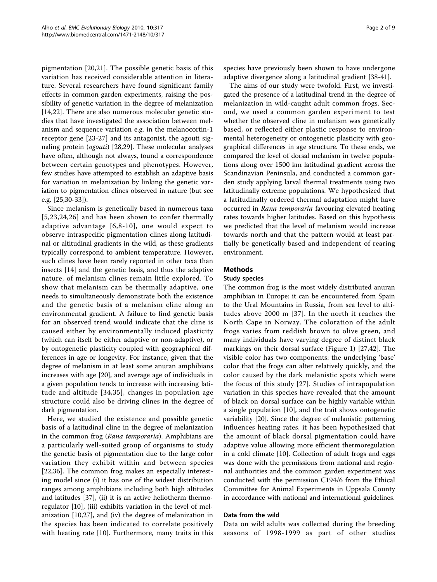pigmentation [[20,21](#page-8-0)]. The possible genetic basis of this variation has received considerable attention in literature. Several researchers have found significant family effects in common garden experiments, raising the possibility of genetic variation in the degree of melanization [[14,](#page-7-0)[22\]](#page-8-0). There are also numerous molecular genetic studies that have investigated the association between melanism and sequence variation e.g. in the melanocortin-1 receptor gene [\[23](#page-8-0)-[27\]](#page-8-0) and its antagonist, the agouti signaling protein (agouti) [[28,29](#page-8-0)]. These molecular analyses have often, although not always, found a correspondence between certain genotypes and phenotypes. However, few studies have attempted to establish an adaptive basis for variation in melanization by linking the genetic variation to pigmentation clines observed in nature (but see e.g. [\[25,30](#page-8-0)-[33](#page-8-0)]).

Since melanism is genetically based in numerous taxa [[5](#page-7-0),[23](#page-8-0),[24](#page-8-0),[26](#page-8-0)] and has been shown to confer thermally adaptive advantage [[6,8-10](#page-7-0)], one would expect to observe intraspecific pigmentation clines along latitudinal or altitudinal gradients in the wild, as these gradients typically correspond to ambient temperature. However, such clines have been rarely reported in other taxa than insects [\[14\]](#page-7-0) and the genetic basis, and thus the adaptive nature, of melanism clines remain little explored. To show that melanism can be thermally adaptive, one needs to simultaneously demonstrate both the existence and the genetic basis of a melanism cline along an environmental gradient. A failure to find genetic basis for an observed trend would indicate that the cline is caused either by environmentally induced plasticity (which can itself be either adaptive or non-adaptive), or by ontogenetic plasticity coupled with geographical differences in age or longevity. For instance, given that the degree of melanism in at least some anuran amphibians increases with age [\[20](#page-8-0)], and average age of individuals in a given population tends to increase with increasing latitude and altitude [[34](#page-8-0),[35](#page-8-0)], changes in population age structure could also be driving clines in the degree of dark pigmentation.

Here, we studied the existence and possible genetic basis of a latitudinal cline in the degree of melanization in the common frog (Rana temporaria). Amphibians are a particularly well-suited group of organisms to study the genetic basis of pigmentation due to the large color variation they exhibit within and between species [[22,36](#page-8-0)]. The common frog makes an especially interesting model since (i) it has one of the widest distribution ranges among amphibians including both high altitudes and latitudes [\[37](#page-8-0)], (ii) it is an active heliotherm thermoregulator [\[10](#page-7-0)], (iii) exhibits variation in the level of melanization [\[10](#page-7-0)[,27](#page-8-0)], and (iv) the degree of melanization in the species has been indicated to correlate positively with heating rate [\[10](#page-7-0)]. Furthermore, many traits in this species have previously been shown to have undergone adaptive divergence along a latitudinal gradient [\[38](#page-8-0)-[41](#page-8-0)].

The aims of our study were twofold. First, we investigated the presence of a latitudinal trend in the degree of melanization in wild-caught adult common frogs. Second, we used a common garden experiment to test whether the observed cline in melanism was genetically based, or reflected either plastic response to environmental heterogeneity or ontogenetic plasticity with geographical differences in age structure. To these ends, we compared the level of dorsal melanism in twelve populations along over 1500 km latitudinal gradient across the Scandinavian Peninsula, and conducted a common garden study applying larval thermal treatments using two latitudinally extreme populations. We hypothesized that a latitudinally ordered thermal adaptation might have occurred in Rana temporaria favouring elevated heating rates towards higher latitudes. Based on this hypothesis we predicted that the level of melanism would increase towards north and that the pattern would at least partially be genetically based and independent of rearing environment.

## Methods

#### Study species

The common frog is the most widely distributed anuran amphibian in Europe: it can be encountered from Spain to the Ural Mountains in Russia, from sea level to altitudes above 2000 m [[37](#page-8-0)]. In the north it reaches the North Cape in Norway. The coloration of the adult frogs varies from reddish brown to olive green, and many individuals have varying degree of distinct black markings on their dorsal surface (Figure [1\)](#page-2-0) [\[27](#page-8-0),[42](#page-8-0)]. The visible color has two components: the underlying 'base' color that the frogs can alter relatively quickly, and the color caused by the dark melanistic spots which were the focus of this study [[27\]](#page-8-0). Studies of intrapopulation variation in this species have revealed that the amount of black on dorsal surface can be highly variable within a single population [[10](#page-7-0)], and the trait shows ontogenetic variability [\[20\]](#page-8-0). Since the degree of melanistic patterning influences heating rates, it has been hypothesized that the amount of black dorsal pigmentation could have adaptive value allowing more efficient thermoregulation in a cold climate [\[10](#page-7-0)]. Collection of adult frogs and eggs was done with the permissions from national and regional authorities and the common garden experiment was conducted with the permission C194/6 from the Ethical Committee for Animal Experiments in Uppsala County in accordance with national and international guidelines.

#### Data from the wild

Data on wild adults was collected during the breeding seasons of 1998-1999 as part of other studies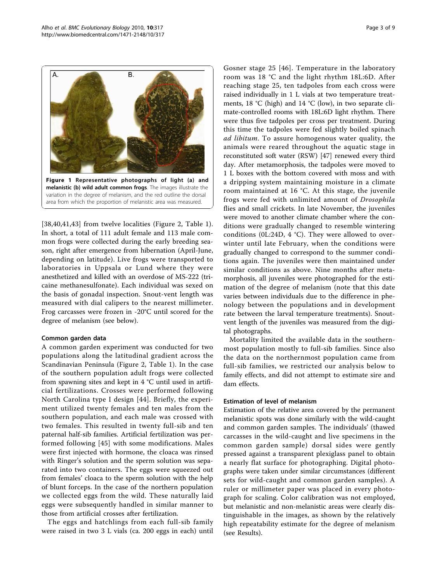<span id="page-2-0"></span>

[[38,40,41,43](#page-8-0)] from twelve localities (Figure [2](#page-3-0), Table [1](#page-3-0)). In short, a total of 111 adult female and 113 male common frogs were collected during the early breeding season, right after emergence from hibernation (April-June, depending on latitude). Live frogs were transported to laboratories in Uppsala or Lund where they were anesthetized and killed with an overdose of MS-222 (tricaine methanesulfonate). Each individual was sexed on the basis of gonadal inspection. Snout-vent length was measured with dial calipers to the nearest millimeter. Frog carcasses were frozen in -20°C until scored for the degree of melanism (see below).

#### Common garden data

A common garden experiment was conducted for two populations along the latitudinal gradient across the Scandinavian Peninsula (Figure [2](#page-3-0), Table [1](#page-3-0)). In the case of the southern population adult frogs were collected from spawning sites and kept in 4 °C until used in artificial fertilizations. Crosses were performed following North Carolina type I design [[44](#page-8-0)]. Briefly, the experiment utilized twenty females and ten males from the southern population, and each male was crossed with two females. This resulted in twenty full-sib and ten paternal half-sib families. Artificial fertilization was performed following [[45](#page-8-0)] with some modifications. Males were first injected with hormone, the cloaca was rinsed with Ringer's solution and the sperm solution was separated into two containers. The eggs were squeezed out from females' cloaca to the sperm solution with the help of blunt forceps. In the case of the northern population we collected eggs from the wild. These naturally laid eggs were subsequently handled in similar manner to those from artificial crosses after fertilization.

The eggs and hatchlings from each full-sib family were raised in two 3 L vials (ca. 200 eggs in each) until

Gosner stage 25 [\[46\]](#page-8-0). Temperature in the laboratory room was 18 °C and the light rhythm 18L:6D. After reaching stage 25, ten tadpoles from each cross were raised individually in 1 L vials at two temperature treatments, 18 °C (high) and 14 °C (low), in two separate climate-controlled rooms with 18L:6D light rhythm. There were thus five tadpoles per cross per treatment. During this time the tadpoles were fed slightly boiled spinach ad libitum. To assure homogenous water quality, the animals were reared throughout the aquatic stage in reconstituted soft water (RSW) [[47\]](#page-8-0) renewed every third day. After metamorphosis, the tadpoles were moved to 1 L boxes with the bottom covered with moss and with a dripping system maintaining moisture in a climate room maintained at 16 °C. At this stage, the juvenile frogs were fed with unlimited amount of Drosophila flies and small crickets. In late November, the juveniles were moved to another climate chamber where the conditions were gradually changed to resemble wintering conditions (0L:24D, 4 °C). They were allowed to overwinter until late February, when the conditions were gradually changed to correspond to the summer conditions again. The juveniles were then maintained under similar conditions as above. Nine months after metamorphosis, all juveniles were photographed for the estimation of the degree of melanism (note that this date varies between individuals due to the difference in phenology between the populations and in development rate between the larval temperature treatments). Snoutvent length of the juveniles was measured from the digital photographs.

Mortality limited the available data in the southernmost population mostly to full-sib families. Since also the data on the northernmost population came from full-sib families, we restricted our analysis below to family effects, and did not attempt to estimate sire and dam effects.

#### Estimation of level of melanism

Estimation of the relative area covered by the permanent melanistic spots was done similarly with the wild-caught and common garden samples. The individuals' (thawed carcasses in the wild-caught and live specimens in the common garden sample) dorsal sides were gently pressed against a transparent plexiglass panel to obtain a nearly flat surface for photographing. Digital photographs were taken under similar circumstances (different sets for wild-caught and common garden samples). A ruler or millimeter paper was placed in every photograph for scaling. Color calibration was not employed, but melanistic and non-melanistic areas were clearly distinguishable in the images, as shown by the relatively high repeatability estimate for the degree of melanism (see Results).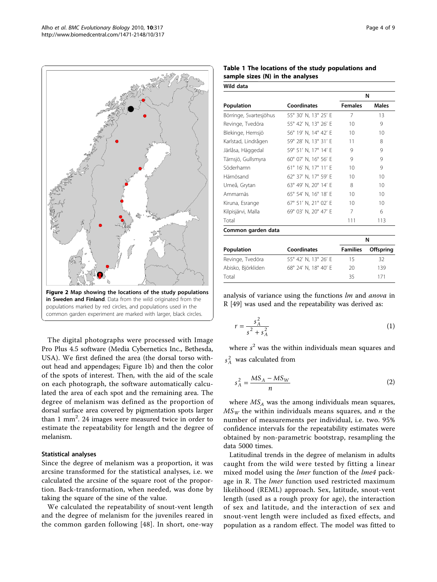<span id="page-3-0"></span>

The digital photographs were processed with Image Pro Plus 4.5 software (Media Cybernetics Inc., Bethesda, USA). We first defined the area (the dorsal torso without head and appendages; Figure [1b\)](#page-2-0) and then the color of the spots of interest. Then, with the aid of the scale on each photograph, the software automatically calculated the area of each spot and the remaining area. The degree of melanism was defined as the proportion of dorsal surface area covered by pigmentation spots larger than 1 mm<sup>2</sup>. 24 images were measured twice in order to estimate the repeatability for length and the degree of melanism.

#### Statistical analyses

Since the degree of melanism was a proportion, it was arcsine transformed for the statistical analyses, i.e. we calculated the arcsine of the square root of the proportion. Back-transformation, when needed, was done by taking the square of the sine of the value.

We calculated the repeatability of snout-vent length and the degree of melanism for the juveniles reared in the common garden following [[48\]](#page-8-0). In short, one-way

## Table 1 The locations of the study populations and sample sizes (N) in the analyses

Wild data

|                        |                      | N               |              |
|------------------------|----------------------|-----------------|--------------|
| Population             | Coordinates          | <b>Females</b>  | <b>Males</b> |
| Börringe, Svartesjöhus | 55° 30' N, 13° 25' E | 7               | 13           |
| Revinge, Tvedöra       | 55° 42' N, 13° 26' E | 10              | 9            |
| Blekinge, Hemsjö       | 56° 19' N, 14° 42' E | 10              | 10           |
| Karlstad, Lindrågen    | 59° 28' N, 13° 31' E | 11              | 8            |
| Järlåsa, Häggedal      | 59° 51' N, 17° 14' E | 9               | 9            |
| Tärnsjö, Gullsmyra     | 60° 07' N, 16° 56' E | 9               | 9            |
| Söderhamn              | 61° 16' N, 17° 11' E | 10              | 9            |
| Härnösand              | 62° 37' N, 17° 59' E | 10              | 10           |
| Umeå, Grytan           | 63° 49' N, 20° 14' E | 8               | 10           |
| Ammarnäs               | 65° 54' N, 16° 18' E | 10              | 10           |
| Kiruna, Esrange        | 67° 51' N, 21° 02' E | 10              | 10           |
| Kilpisjärvi, Malla     | 69° 03' N, 20° 47' E | 7               | 6            |
| Total                  |                      | 111             | 113          |
| Common garden data     |                      |                 |              |
|                        |                      | N               |              |
| Population             | <b>Coordinates</b>   | <b>Families</b> | Offspring    |
| Revinge, Tvedöra       | 55° 42' N, 13° 26' E | 15              | 32           |
| Abisko, Björkliden     | 68° 24' N, 18° 40' E | 20              | 139          |
| Total                  |                      | 35              | 171          |

analysis of variance using the functions *lm* and *anova* in R [\[49\]](#page-8-0) was used and the repeatability was derived as:

$$
r = \frac{s_A^2}{s^2 + s_A^2}
$$
 (1)

where  $s^2$  was the within individuals mean squares and  $s_A^2$  was calculated from

$$
s_A^2 = \frac{MS_A - MS_W}{n}
$$
 (2)

where  $MS_A$  was the among individuals mean squares,  $MS_W$  the within individuals means squares, and *n* the number of measurements per individual, i.e. two. 95% confidence intervals for the repeatability estimates were obtained by non-parametric bootstrap, resampling the data 5000 times.

Latitudinal trends in the degree of melanism in adults caught from the wild were tested by fitting a linear mixed model using the *lmer* function of the *lme4* package in R. The *lmer* function used restricted maximum likelihood (REML) approach. Sex, latitude, snout-vent length (used as a rough proxy for age), the interaction of sex and latitude, and the interaction of sex and snout-vent length were included as fixed effects, and population as a random effect. The model was fitted to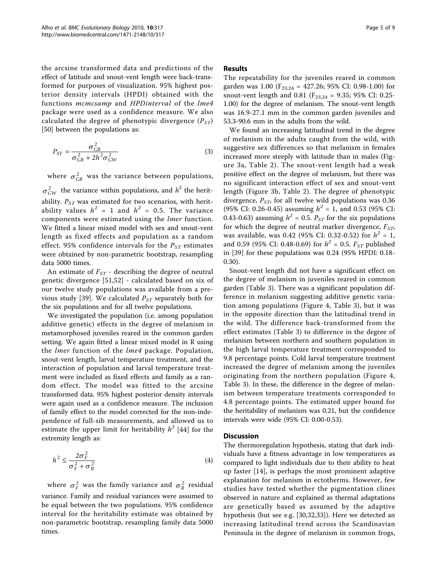the arcsine transformed data and predictions of the effect of latitude and snout-vent length were back-transformed for purposes of visualization. 95% highest posterior density intervals (HPDI) obtained with the functions mcmcsamp and HPDinterval of the lme4 package were used as a confidence measure. We also calculated the degree of phenotypic divergence  $(P_{ST})$ [[50\]](#page-8-0) between the populations as:

$$
P_{ST} = \frac{\sigma_{GB}^2}{\sigma_{GB}^2 + 2h^2 \sigma_{GW}^2}
$$
 (3)

where  $\sigma^2_{GB}$  was the variance between populations,  $\sigma_{GW}^2$  the variance within populations, and  $h^2$  the heritability.  $P_{ST}$  was estimated for two scenarios, with heritability values  $h^2 = 1$  and  $h^2 = 0.5$ . The variance components were estimated using the lmer function. We fitted a linear mixed model with sex and snout-vent length as fixed effects and population as a random effect. 95% confidence intervals for the  $P_{ST}$  estimates were obtained by non-parametric bootstrap, resampling data 5000 times.

An estimate of  $F_{ST}$  - describing the degree of neutral genetic divergence [[51,52](#page-8-0)] - calculated based on six of our twelve study populations was available from a pre-vious study [\[39](#page-8-0)]. We calculated  $P_{ST}$  separately both for the six populations and for all twelve populations.

We investigated the population (i.e. among population additive genetic) effects in the degree of melanism in metamorphosed juveniles reared in the common garden setting. We again fitted a linear mixed model in R using the lmer function of the lme4 package. Population, snout-vent length, larval temperature treatment, and the interaction of population and larval temperature treatment were included as fixed effects and family as a random effect. The model was fitted to the arcsine transformed data. 95% highest posterior density intervals were again used as a confidence measure. The inclusion of family effect to the model corrected for the non-independence of full-sib measurements, and allowed us to estimate the upper limit for heritability  $h^2$  [[44\]](#page-8-0) for the extremity length as:

$$
h^2 \le \frac{2\sigma_F^2}{\sigma_F^2 + \sigma_R^2} \tag{4}
$$

where  $\sigma_F^2$  was the family variance and  $\sigma_R^2$  residual variance. Family and residual variances were assumed to be equal between the two populations. 95% confidence interval for the heritability estimate was obtained by non-parametric bootstrap, resampling family data 5000 times.

#### Results

The repeatability for the juveniles reared in common garden was 1.00 ( $F_{23,24}$  = 427.26; 95% CI: 0.98-1.00) for snout-vent length and 0.81 ( $F_{23,24}$  = 9.35; 95% CI: 0.25-1.00) for the degree of melanism. The snout-vent length was 16.9-27.1 mm in the common garden juveniles and 53.3-90.6 mm in the adults from the wild.

We found an increasing latitudinal trend in the degree of melanism in the adults caught from the wild, with suggestive sex differences so that melanism in females increased more steeply with latitude than in males (Figure [3a](#page-5-0), Table [2\)](#page-6-0). The snout-vent length had a weak positive effect on the degree of melanism, but there was no significant interaction effect of sex and snout-vent length (Figure [3b,](#page-5-0) Table [2](#page-6-0)). The degree of phenotypic divergence,  $P_{ST}$ , for all twelve wild populations was 0.36 (95% CI: 0.26-0.45) assuming  $h^2 = 1$ , and 0.53 (95% CI: 0.43-0.63) assuming  $h^2$  = 0.5.  $P_{ST}$  for the six populations for which the degree of neutral marker divergence,  $F_{ST}$ , was available, was 0.42 (95% CI: 0.32-0.52) for  $h^2 = 1$ , and 0.59 (95% CI: 0.48-0.69) for  $h^2 = 0.5$ .  $F_{ST}$  published in [\[39](#page-8-0)] for these populations was 0.24 (95% HPDI: 0.18- 0.30).

Snout-vent length did not have a significant effect on the degree of melanism in juveniles reared in common garden (Table [3](#page-6-0)). There was a significant population difference in melanism suggesting additive genetic variation among populations (Figure [4,](#page-6-0) Table [3\)](#page-6-0), but it was in the opposite direction than the latitudinal trend in the wild. The difference back-transformed from the effect estimates (Table [3](#page-6-0)) to difference in the degree of melanism between northern and southern population in the high larval temperature treatment corresponded to 9.8 percentage points. Cold larval temperature treatment increased the degree of melanism among the juveniles originating from the northern population (Figure [4](#page-6-0), Table [3\)](#page-6-0). In these, the difference in the degree of melanism between temperature treatments corresponded to 4.8 percentage points. The estimated upper bound for the heritability of melanism was 0.21, but the confidence intervals were wide (95% CI: 0.00-0.53).

## **Discussion**

The thermoregulation hypothesis, stating that dark individuals have a fitness advantage in low temperatures as compared to light individuals due to their ability to heat up faster [[14](#page-7-0)], is perhaps the most prominent adaptive explanation for melanism in ectotherms. However, few studies have tested whether the pigmentation clines observed in nature and explained as thermal adaptations are genetically based as assumed by the adaptive hypothesis (but see e.g. [\[30,32,33](#page-8-0)]). Here we detected an increasing latitudinal trend across the Scandinavian Peninsula in the degree of melanism in common frogs,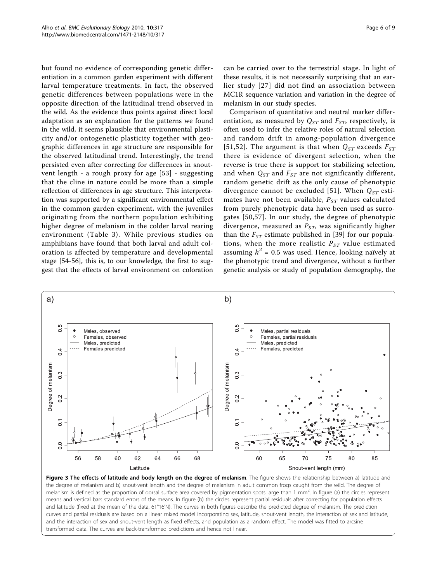<span id="page-5-0"></span>but found no evidence of corresponding genetic differentiation in a common garden experiment with different larval temperature treatments. In fact, the observed genetic differences between populations were in the opposite direction of the latitudinal trend observed in the wild. As the evidence thus points against direct local adaptation as an explanation for the patterns we found in the wild, it seems plausible that environmental plasticity and/or ontogenetic plasticity together with geographic differences in age structure are responsible for the observed latitudinal trend. Interestingly, the trend persisted even after correcting for differences in snoutvent length - a rough proxy for age [[53\]](#page-8-0) - suggesting that the cline in nature could be more than a simple reflection of differences in age structure. This interpretation was supported by a significant environmental effect in the common garden experiment, with the juveniles originating from the northern population exhibiting higher degree of melanism in the colder larval rearing environment (Table [3\)](#page-6-0). While previous studies on amphibians have found that both larval and adult coloration is affected by temperature and developmental stage [[54-56](#page-8-0)], this is, to our knowledge, the first to suggest that the effects of larval environment on coloration

can be carried over to the terrestrial stage. In light of these results, it is not necessarily surprising that an earlier study [[27](#page-8-0)] did not find an association between MC1R sequence variation and variation in the degree of melanism in our study species.

Comparison of quantitative and neutral marker differentiation, as measured by  $Q_{ST}$  and  $F_{ST}$ , respectively, is often used to infer the relative roles of natural selection and random drift in among-population divergence [[51,52\]](#page-8-0). The argument is that when  $Q_{ST}$  exceeds  $F_{ST}$ there is evidence of divergent selection, when the reverse is true there is support for stabilizing selection, and when  $Q_{ST}$  and  $F_{ST}$  are not significantly different, random genetic drift as the only cause of phenotypic divergence cannot be excluded [\[51\]](#page-8-0). When  $Q_{ST}$  estimates have not been available,  $P_{ST}$  values calculated from purely phenotypic data have been used as surrogates [[50](#page-8-0),[57](#page-8-0)]. In our study, the degree of phenotypic divergence, measured as  $P_{ST}$ , was significantly higher than the  $F_{ST}$  estimate published in [[39\]](#page-8-0) for our populations, when the more realistic  $P_{ST}$  value estimated assuming  $h^2 = 0.5$  was used. Hence, looking naïvely at the phenotypic trend and divergence, without a further genetic analysis or study of population demography, the



Figure 3 The effects of latitude and body length on the degree of melanism. The figure shows the relationship between a) latitude and the degree of melanism and b) snout-vent length and the degree of melanism in adult common frogs caught from the wild. The degree of melanism is defined as the proportion of dorsal surface area covered by pigmentation spots large than 1 mm<sup>2</sup>. In figure (a) the circles represent means and vertical bars standard errors of the means. In figure (b) the circles represent partial residuals after correcting for population effects and latitude (fixed at the mean of the data, 61°16'N). The curves in both figures describe the predicted degree of melanism. The prediction curves and partial residuals are based on a linear mixed model incorporating sex, latitude, snout-vent length, the interaction of sex and latitude, and the interaction of sex and snout-vent length as fixed effects, and population as a random effect. The model was fitted to arcsine transformed data. The curves are back-transformed predictions and hence not linear.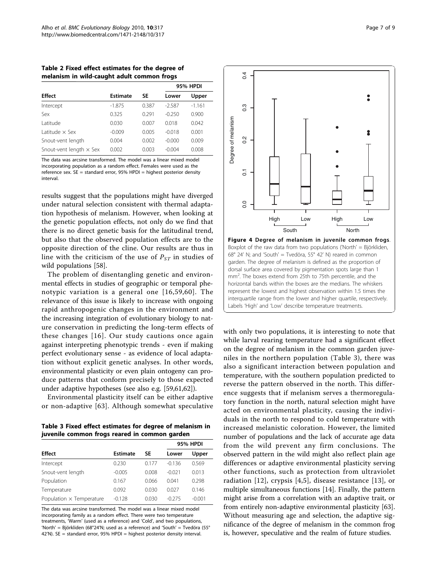<span id="page-6-0"></span>Table 2 Fixed effect estimates for the degree of melanism in wild-caught adult common frogs

|                                |                 |       | <b>95% HPDI</b> |          |
|--------------------------------|-----------------|-------|-----------------|----------|
| Effect                         | <b>Estimate</b> | SΕ    | Lower           | Upper    |
| Intercept                      | $-1.875$        | 0.387 | $-2.587$        | $-1.161$ |
| Sex                            | 0.325           | 0.291 | $-0.250$        | 0.900    |
| I atitude                      | 0.030           | 0.007 | 0.018           | 0.042    |
| $l$ atitude $\times$ Sex       | $-0.009$        | 0.005 | $-0.018$        | 0.001    |
| Snout-vent length              | 0.004           | 0.002 | $-0.000$        | 0.009    |
| Snout-vent length $\times$ Sex | 0.002           | 0.003 | $-0.004$        | 0.008    |

The data was arcsine transformed. The model was a linear mixed model incorporating population as a random effect. Females were used as the reference sex. SE = standard error, 95% HPDI = highest posterior density interval.

results suggest that the populations might have diverged under natural selection consistent with thermal adaptation hypothesis of melanism. However, when looking at the genetic population effects, not only do we find that there is no direct genetic basis for the latitudinal trend, but also that the observed population effects are to the opposite direction of the cline. Our results are thus in line with the criticism of the use of  $P_{ST}$  in studies of wild populations [\[58\]](#page-8-0).

The problem of disentangling genetic and environmental effects in studies of geographic or temporal phenotypic variation is a general one [[16](#page-7-0),[59,60](#page-8-0)]. The relevance of this issue is likely to increase with ongoing rapid anthropogenic changes in the environment and the increasing integration of evolutionary biology to nature conservation in predicting the long-term effects of these changes [[16\]](#page-7-0). Our study cautions once again against interpreting phenotypic trends - even if making perfect evolutionary sense - as evidence of local adaptation without explicit genetic analyses. In other words, environmental plasticity or even plain ontogeny can produce patterns that conform precisely to those expected under adaptive hypotheses (see also e.g. [\[59,61,62\]](#page-8-0)).

Environmental plasticity itself can be either adaptive or non-adaptive [[63](#page-8-0)]. Although somewhat speculative

Table 3 Fixed effect estimates for degree of melanism in juvenile common frogs reared in common garden

|                                 |                 |       | <b>95% HPDI</b> |          |
|---------------------------------|-----------------|-------|-----------------|----------|
| <b>Effect</b>                   | <b>Estimate</b> | SΕ    | Lower           | Upper    |
| Intercept                       | 0.230           | 0.177 | $-0.136$        | 0.569    |
| Snout-vent length               | $-0.005$        | 0.008 | $-0.021$        | 0.013    |
| Population                      | 0.167           | 0.066 | 0.041           | 0.298    |
| Temperature                     | 0.092           | 0.030 | 0.027           | 0.146    |
| Population $\times$ Temperature | $-0.128$        | 0.030 | $-0.275$        | $-0.001$ |

The data was arcsine transformed. The model was a linear mixed model incorporating family as a random effect. There were two temperature treatments, 'Warm' (used as a reference) and 'Cold', and two populations, 'North' = Björkliden (68°24'N; used as a reference) and 'South' = Tvedöra (55° 42'N). SE = standard error, 95% HPDI = highest posterior density interval.



68° 24' N; and 'South' = Tvedöra, 55° 42' N) reared in common garden. The degree of melanism is defined as the proportion of dorsal surface area covered by pigmentation spots large than 1 mm2 . The boxes extend from 25th to 75th percentile, and the horizontal bands within the boxes are the medians. The whiskers represent the lowest and highest observation within 1.5 times the interquartile range from the lower and higher quartile, respectively. Labels 'High' and 'Low' describe temperature treatments.

with only two populations, it is interesting to note that while larval rearing temperature had a significant effect on the degree of melanism in the common garden juveniles in the northern population (Table 3), there was also a significant interaction between population and temperature, with the southern population predicted to reverse the pattern observed in the north. This difference suggests that if melanism serves a thermoregulatory function in the north, natural selection might have acted on environmental plasticity, causing the individuals in the north to respond to cold temperature with increased melanistic coloration. However, the limited number of populations and the lack of accurate age data from the wild prevent any firm conclusions. The observed pattern in the wild might also reflect plain age differences or adaptive environmental plasticity serving other functions, such as protection from ultraviolet radiation [[12](#page-7-0)], crypsis [[4,5](#page-7-0)], disease resistance [[13](#page-7-0)], or multiple simultaneous functions [[14\]](#page-7-0). Finally, the pattern might arise from a correlation with an adaptive trait, or from entirely non-adaptive environmental plasticity [\[63](#page-8-0)]. Without measuring age and selection, the adaptive significance of the degree of melanism in the common frog is, however, speculative and the realm of future studies.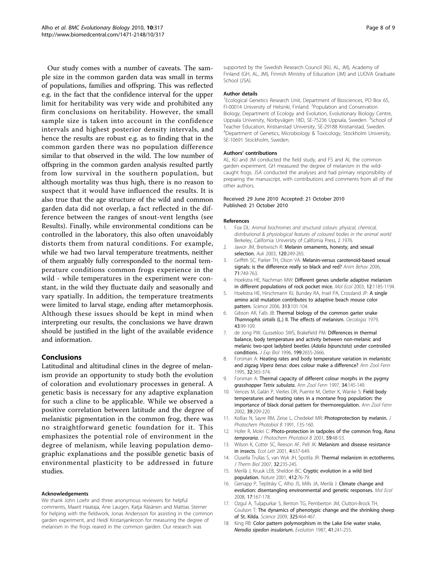<span id="page-7-0"></span>Our study comes with a number of caveats. The sample size in the common garden data was small in terms of populations, families and offspring. This was reflected e.g. in the fact that the confidence interval for the upper limit for heritability was very wide and prohibited any firm conclusions on heritability. However, the small sample size is taken into account in the confidence intervals and highest posterior density intervals, and hence the results are robust e.g. as to finding that in the common garden there was no population difference similar to that observed in the wild. The low number of offspring in the common garden analysis resulted partly from low survival in the southern population, but although mortality was thus high, there is no reason to suspect that it would have influenced the results. It is also true that the age structure of the wild and common garden data did not overlap, a fact reflected in the difference between the ranges of snout-vent lengths (see Results). Finally, while environmental conditions can be controlled in the laboratory, this also often unavoidably distorts them from natural conditions. For example, while we had two larval temperature treatments, neither of them arguably fully corresponded to the normal temperature conditions common frogs experience in the wild - while temperatures in the experiment were constant, in the wild they fluctuate daily and seasonally and vary spatially. In addition, the temperature treatments were limited to larval stage, ending after metamorphosis. Although these issues should be kept in mind when interpreting our results, the conclusions we have drawn should be justified in the light of the available evidence and information.

## Conclusions

Latitudinal and altitudinal clines in the degree of melanism provide an opportunity to study both the evolution of coloration and evolutionary processes in general. A genetic basis is necessary for any adaptive explanation for such a cline to be applicable. While we observed a positive correlation between latitude and the degree of melanistic pigmentation in the common frog, there was no straightforward genetic foundation for it. This emphasizes the potential role of environment in the degree of melanism, while leaving population demographic explanations and the possible genetic basis of environmental plasticity to be addressed in future studies.

#### Acknowledgements

We thank John Loehr and three anonymous reviewers for helpful comments, Maarit Haataja, Ane Laugen, Katja Räsänen and Mattias Sterner for helping with the fieldwork, Jonas Andersson for assisting in the common garden experiment, and Heidi Kristanjankroon for measuring the degree of melanism in the frogs reared in the common garden. Our research was

supported by the Swedish Research Council (KIJ, AL, JM), Academy of Finland (GH, AL, JM), Finnish Ministry of Education (JM) and LUOVA Graduate School (JSA).

#### Author details

<sup>1</sup> Ecological Genetics Research Unit, Department of Biosciences, PO Box 65, FI-00014 University of Helsinki, Finland. <sup>2</sup> Population and Conservation Biology, Department of Ecology and Evolution, Evolutionary Biology Centre, Uppsala University, Norbyvägen 18D, SE-75236 Uppsala, Sweden. 3School of Teacher Education, Kristianstad University, SE-29188 Kristianstad, Sweden. 4 Department of Genetics, Microbiology & Toxicology, Stockholm University, SE-10691 Stockholm, Sweden.

#### Authors' contributions

AL, KIJ and JM conducted the field study, and FS and AL the common garden experiment. GH measured the degree of melanism in the wildcaught frogs. JSA conducted the analyses and had primary responsibility of preparing the manuscript, with contributions and comments from all of the other authors.

#### Received: 29 June 2010 Accepted: 21 October 2010 Published: 21 October 2010

#### References

- 1. Fox DL: Animal biochromes and structural colours: physical, chemical, distributional & physiological features of coloured bodies in the animal world Berkeley, California: University of California Press, 2 1976.
- 2. Jawor JM, Breitwisch R: Melanin ornaments, honesty, and sexual selection. Auk 2003, 120:249-265.
- 3. Griffith SC, Parker TH, Olson VA: Melanin-versus carotenoid-based sexual signals: is the difference really so black and red? Anim Behav 2006, 71:749-763.
- 4. Hoekstra HE, Nachman MW: [Different genes underlie adaptive melanism](http://www.ncbi.nlm.nih.gov/pubmed/12694282?dopt=Abstract) [in different populations of rock pocket mice.](http://www.ncbi.nlm.nih.gov/pubmed/12694282?dopt=Abstract) Mol Ecol 2003, 12:1185-1194.
- 5. Hoekstra HE, Hirschmann RJ, Bundey RA, Insel PA, Crossland JP: [A single](http://www.ncbi.nlm.nih.gov/pubmed/16825572?dopt=Abstract) [amino acid mutation contributes to adaptive beach mouse color](http://www.ncbi.nlm.nih.gov/pubmed/16825572?dopt=Abstract) [pattern.](http://www.ncbi.nlm.nih.gov/pubmed/16825572?dopt=Abstract) Science 2006, 313:101-104.
- 6. Gibson AR, Falls JB: Thermal biology of the common garter snake Thamnophis sirtalis (L.) II. The effects of melanism. Oecologia 1979, 43:99-109.
- 7. de Jong PW, Gussekloo SWS, Brakefield PM: [Differences in thermal](http://www.ncbi.nlm.nih.gov/pubmed/9320589?dopt=Abstract) [balance, body temperature and activity between non-melanic and](http://www.ncbi.nlm.nih.gov/pubmed/9320589?dopt=Abstract) [melanic two-spot ladybird beetles \(](http://www.ncbi.nlm.nih.gov/pubmed/9320589?dopt=Abstract)Adalia bipunctata) under controlled [conditions.](http://www.ncbi.nlm.nih.gov/pubmed/9320589?dopt=Abstract) *J Exp Biol* 1996, 199:2655-2666.
- 8. Forsman A: Heating rates and body temperature variation in melanistic and zigzag Vipera berus: does colour make a difference? Ann Zool Fenn 1995, 32:365-374.
- 9. Forsman A: Thermal capacity of different colour morphs in the pygmy grasshopper Tetrix subulata. Ann Zool Fenn 1997, 34:145-149.
- 10. Vences M, Galán P, Vieites DR, Puente M, Oetter K, Wanke S: Field body temperatures and heating rates in a montane frog population: the importance of black dorsal pattern for thermoregulation. Ann Zool Fenn 2002, 39:209-220.
- 11. Kollias N, Sayre RM, Zeise L, Chedekel MR: [Photoprotection by melanin.](http://www.ncbi.nlm.nih.gov/pubmed/1907647?dopt=Abstract) J Photochem Photobiol B 1991, 135-160.
- 12. Hofer R, Mokri C: Photo-protection in tadpoles of the common frog, Rana temporaria. J Photochem Photobiol B 2001, 59:48-53.
- 13. Wilson K, Cotter SC, Reeson AF, Pell JK: Melanism and disease resistance in insects. Ecol Lett 2001, 4:637-649.
- 14. Clusella Trullas S, van Wyk JH, Spotila JR: Thermal melanism in ectotherms. J Therm Biol 2007, 32:235-245.
- 15. Merilä J, Kruuk LEB, Sheldon BC: [Cryptic evolution in a wild bird](http://www.ncbi.nlm.nih.gov/pubmed/11452309?dopt=Abstract) [population.](http://www.ncbi.nlm.nih.gov/pubmed/11452309?dopt=Abstract) Nature 2001, 412:76-79.
- 16. Gienapp P, Teplitsky C, Alho JS, Mills JA, Merilä J: [Climate change and](http://www.ncbi.nlm.nih.gov/pubmed/18173499?dopt=Abstract) [evolution: disentangling environmental and genetic responses.](http://www.ncbi.nlm.nih.gov/pubmed/18173499?dopt=Abstract) Mol Ecol 2008, 17:167-178.
- 17. Ozgul A, Tuljapurkar S, Benton TG, Pemberton JM, Clutton-Brock TH, Coulson T: [The dynamics of phenotypic change and the shrinking sheep](http://www.ncbi.nlm.nih.gov/pubmed/19574350?dopt=Abstract) [of St. Kilda.](http://www.ncbi.nlm.nih.gov/pubmed/19574350?dopt=Abstract) Science 2009, 325:464-467.
- 18. King RB: Color pattern polymorphism in the Lake Erie water snake, Nerodia sipedon insularium. Evolution 1987, 41:241-255.